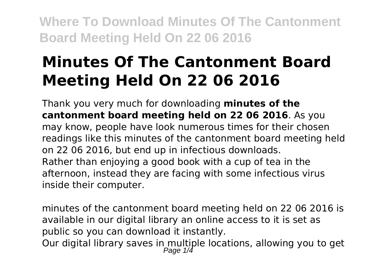# **Minutes Of The Cantonment Board Meeting Held On 22 06 2016**

Thank you very much for downloading **minutes of the cantonment board meeting held on 22 06 2016**. As you may know, people have look numerous times for their chosen readings like this minutes of the cantonment board meeting held on 22 06 2016, but end up in infectious downloads. Rather than enjoying a good book with a cup of tea in the afternoon, instead they are facing with some infectious virus inside their computer.

minutes of the cantonment board meeting held on 22 06 2016 is available in our digital library an online access to it is set as public so you can download it instantly. Our digital library saves in multiple locations, allowing you to get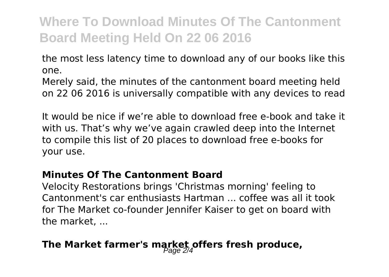the most less latency time to download any of our books like this one.

Merely said, the minutes of the cantonment board meeting held on 22 06 2016 is universally compatible with any devices to read

It would be nice if we're able to download free e-book and take it with us. That's why we've again crawled deep into the Internet to compile this list of 20 places to download free e-books for your use.

#### **Minutes Of The Cantonment Board**

Velocity Restorations brings 'Christmas morning' feeling to Cantonment's car enthusiasts Hartman ... coffee was all it took for The Market co-founder Jennifer Kaiser to get on board with the market, ...

## The Market farmer's market offers fresh produce,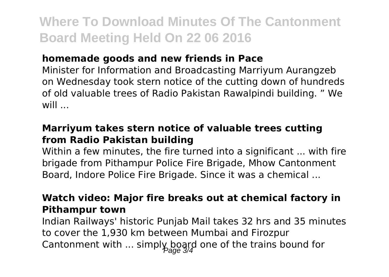## **homemade goods and new friends in Pace**

Minister for Information and Broadcasting Marriyum Aurangzeb on Wednesday took stern notice of the cutting down of hundreds of old valuable trees of Radio Pakistan Rawalpindi building. " We will ...

### **Marriyum takes stern notice of valuable trees cutting from Radio Pakistan building**

Within a few minutes, the fire turned into a significant ... with fire brigade from Pithampur Police Fire Brigade, Mhow Cantonment Board, Indore Police Fire Brigade. Since it was a chemical ...

## **Watch video: Major fire breaks out at chemical factory in Pithampur town**

Indian Railways' historic Punjab Mail takes 32 hrs and 35 minutes to cover the 1,930 km between Mumbai and Firozpur Cantonment with ... simply board one of the trains bound for